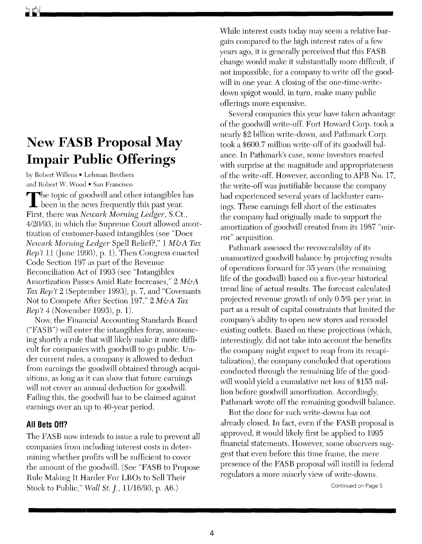## **New FASB Proposal May Impair Public Offerings**

by Robert Willens • Lehman Brothers and Robert W. Wood • San Francisco

The topic of goodwill and other intangibles has **L** been in the news frequently this past year. First, there was *Newark Morning Ledger,* S.Ct., *4120/93,* in which the Supreme Court allowed amortization of customer-based intangibles (see "Does *Newark Morning Ledger* Spell Relief?," 1 *M&A Tax Rep't* 11 (June 1993), p. 1). Then Congress enacted Code Section 197 as part of the Revenue Reconciliation Act of 1993 (see "Intangibles Amortization Passes Amid Rate Increases," 2 *M&A Tax Rep't* 2 (September 1993), p. 7, and "Covenants Not to Compete After Section 197," 2 *M&A Tax Rep't* 4 (November 1993), p. 1).

Now, the Financial Accounting Standards Board ("FASB") will enter the intangibles foray, announcing shortly a rule that will likely make it more difficult for companies with goodwill to go public. Under current rules, a company is allowed to deduct from earnings the goodwill obtained through acquisitions, as long as it can show that future earnings will not cover an annual deduction for goodwill. Failing this, the goodwill has to be claimed against earnings over an up to 40-year period.

## **All Bets Off?**

The FASB now intends to issue a rule to prevent all companies from including interest costs in determining whether profits will be sufficient to cover the amount of the goodwill. (See "FASB to Propose Rule Making It Harder For LBOs to Sell Their Stock to Public," *YVall St.* J., *11/16/93,* p. A6.)

While interest costs today may seem a relative bargain compared to the high interest rates of a few years ago, it is generally perceived that this FASB change would make it substantially more difficult, if not impossible, for a company to write off the goodwill in one year. A closing of the one-time-writedown spigot would, in turn, make many public offerings more expensive.

Several companies this year have taken advantage of the goodwill write-off. Fort Howard Corp. took a nearly \$2 billion write-down, and Pathmark Corp. took a \$600.7 million write-off of its goodwill balance. **In** Pathmark's case, some investors reacted with surprise at the magnitude and appropriateness of the write-off. However, according to APB No. 17, the write-off was justifiable because the company had experienced several years of lackluster earnings. These earnings fell short of the estimates the company had originally made to support the amortization of goodwill created from its 1987 "mirror" acquisition.

Pathmark assessed the recoverability of its unamortized goodwill balance by projecting results of operations forward for 35 years (the remaining life of the goodwill) based on a five-year historical trend line of actual results. The forecast calculated projected revenue growth of only 0.5% per year, in part as a result of capital constraints that limited the company's ability to open new stores and remodel existing outlets. Based on these projections (which, interestingly, did not take into account the benefits the company might expect to reap from its recapitalization), the company concluded that operations conducted through the remaining life of the good will would yield a cumulative net loss of \$155 million before goodwill amortization. Accordingly, Pathmark wrote off the remaining goodwill balance.

But the door for such write-downs has not already closed. **In** fact, even if the FASB proposal is approved, it would likely first be applied to 1995 financial statements. However, some observers suggest that even before this time frame, the mere presence of the FASB proposal will instill in federal regulators a more miserly view of write-downs.

Continued on Page 5